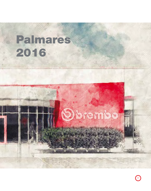# Palmares



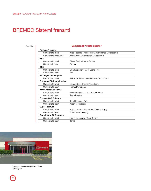# BREMBO Sistemi frenanti

## AUTO

#### Campionati "ruote aperte"

| Nico Rosberg - Mercedes AMG Petronas Motorsport's |
|---------------------------------------------------|
| Mercedes AMG Petronas Motorsport's                |
|                                                   |
| Pierre Gasly - Prema Racing                       |
| Prema                                             |
|                                                   |
| Charles Leclerc - ART Grand Prix                  |
| ART                                               |
|                                                   |
| Alexander Rossi - Andretti Autosport Honda        |
|                                                   |
| Lance Stroll - Prema Powerteam                    |
| Prema Powerteam                                   |
|                                                   |
| Simon Pagenaud - #22 Team Penske                  |
| <b>Team Penske</b>                                |
|                                                   |
| Tom Dillmann - AVF                                |
| Arden Motorsport                                  |
|                                                   |
| Yuji Kunimoto - Team P.mu/Cerumo-Inging           |
| P.mu/Cerumo-Inging                                |
|                                                   |
| Kenta Yamashita - Team Tom's                      |
| Tom's                                             |
|                                                   |



La nuova fonderia di ghisa a Homer (Michigan).

78